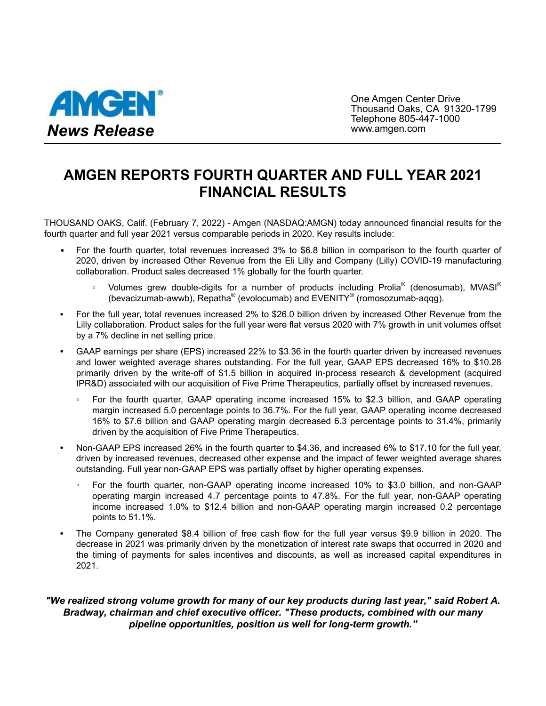

One Amgen Center Drive Thousand Oaks, CA 91320-1799 Telephone 805-447-1000 www.amgen.com

# **AMGEN REPORTS FOURTH QUARTER AND FULL YEAR 2021 FINANCIAL RESULTS**

THOUSAND OAKS, Calif. (February 7, 2022) - Amgen (NASDAQ:AMGN) today announced financial results for the fourth quarter and full year 2021 versus comparable periods in 2020. Key results include:

- For the fourth quarter, total revenues increased 3% to \$6.8 billion in comparison to the fourth quarter of 2020, driven by increased Other Revenue from the Eli Lilly and Company (Lilly) COVID-19 manufacturing collaboration. Product sales decreased 1% globally for the fourth quarter.
	- $\degree$  Volumes grew double-digits for a number of products including Prolia® (denosumab), MVASI® (bevacizumab-awwb), Repatha® (evolocumab) and EVENITY® (romosozumab-aqqg).
- **•** For the full year, total revenues increased 2% to \$26.0 billion driven by increased Other Revenue from the Lilly collaboration. Product sales for the full year were flat versus 2020 with 7% growth in unit volumes offset by a 7% decline in net selling price.
- **•** GAAP earnings per share (EPS) increased 22% to \$3.36 in the fourth quarter driven by increased revenues and lower weighted average shares outstanding. For the full year, GAAP EPS decreased 16% to \$10.28 primarily driven by the write-off of \$1.5 billion in acquired in-process research & development (acquired IPR&D) associated with our acquisition of Five Prime Therapeutics, partially offset by increased revenues.
	- For the fourth quarter, GAAP operating income increased 15% to \$2.3 billion, and GAAP operating margin increased 5.0 percentage points to 36.7%. For the full year, GAAP operating income decreased 16% to \$7.6 billion and GAAP operating margin decreased 6.3 percentage points to 31.4%, primarily driven by the acquisition of Five Prime Therapeutics.
- **•** Non-GAAP EPS increased 26% in the fourth quarter to \$4.36, and increased 6% to \$17.10 for the full year, driven by increased revenues, decreased other expense and the impact of fewer weighted average shares outstanding. Full year non-GAAP EPS was partially offset by higher operating expenses.
	- For the fourth quarter, non-GAAP operating income increased 10% to \$3.0 billion, and non-GAAP operating margin increased 4.7 percentage points to 47.8%. For the full year, non-GAAP operating income increased 1.0% to \$12.4 billion and non-GAAP operating margin increased 0.2 percentage points to 51.1%.
- **•** The Company generated \$8.4 billion of free cash flow for the full year versus \$9.9 billion in 2020. The decrease in 2021 was primarily driven by the monetization of interest rate swaps that occurred in 2020 and the timing of payments for sales incentives and discounts, as well as increased capital expenditures in 2021.

### *"We realized strong volume growth for many of our key products during last year," said Robert A. Bradway, chairman and chief executive officer. "These products, combined with our many pipeline opportunities, position us well for long-term growth."*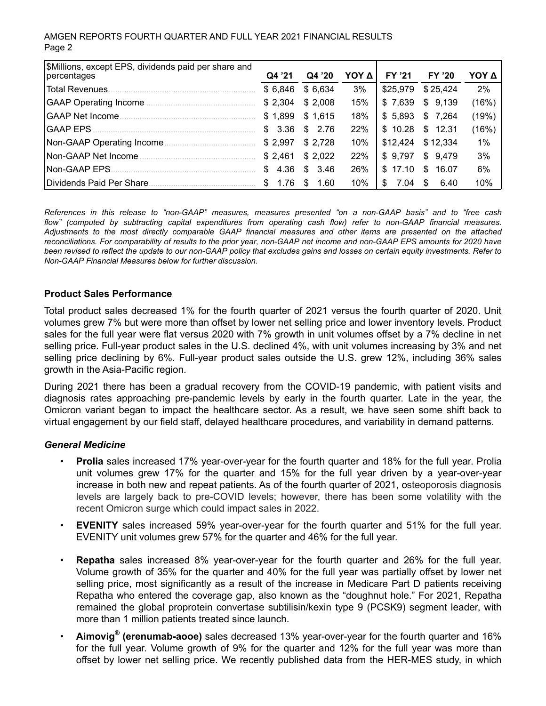| SMillions, except EPS, dividends paid per share and<br>percentages | Q4 '21  | Q4 '20     | <b>YOY Δ</b> | FY '21     | <b>FY '20</b>    | ΥΟΥ Δ |
|--------------------------------------------------------------------|---------|------------|--------------|------------|------------------|-------|
| Total Revenues.                                                    | \$6,846 | \$6,634    | 3%           | \$25,979   | \$25,424         | 2%    |
|                                                                    | \$2,304 | \$2,008    | 15%          | \$7,639    | \$9,139          | (16%) |
| GAAP Net Income.                                                   | \$1,899 | \$1,615    | 18%          | \$5,893    | \$7,264          | (19%) |
|                                                                    | \$3.36  | \$ 2.76    | 22%          |            | $$10.28$ \$12.31 | (16%) |
|                                                                    | \$2,997 | \$2,728    | 10%          | \$12,424   | \$12,334         | 1%    |
|                                                                    | \$2,461 | \$2,022    | 22%          | \$9,797    | \$9,479          | 3%    |
| Non-GAAP EPS.                                                      | \$4.36  | \$3.46     | 26%          | \$17.10    | \$<br>16.07      | 6%    |
| Dividends Paid Per Share.                                          | \$1.76  | S.<br>1.60 | 10%          | S.<br>7.04 | S.<br>6.40       | 10%   |

*References in this release to "non-GAAP" measures, measures presented "on a non-GAAP basis" and to "free cash*  flow" (computed by subtracting capital expenditures from operating cash flow) refer to non-GAAP financial measures. *Adjustments to the most directly comparable GAAP financial measures and other items are presented on the attached reconciliations. For comparability of results to the prior year, non-GAAP net income and non-GAAP EPS amounts for 2020 have been revised to reflect the update to our non-GAAP policy that excludes gains and losses on certain equity investments. Refer to Non-GAAP Financial Measures below for further discussion.*

### **Product Sales Performance**

Total product sales decreased 1% for the fourth quarter of 2021 versus the fourth quarter of 2020. Unit volumes grew 7% but were more than offset by lower net selling price and lower inventory levels. Product sales for the full year were flat versus 2020 with 7% growth in unit volumes offset by a 7% decline in net selling price. Full-year product sales in the U.S. declined 4%, with unit volumes increasing by 3% and net selling price declining by 6%. Full-year product sales outside the U.S. grew 12%, including 36% sales growth in the Asia-Pacific region.

During 2021 there has been a gradual recovery from the COVID-19 pandemic, with patient visits and diagnosis rates approaching pre-pandemic levels by early in the fourth quarter. Late in the year, the Omicron variant began to impact the healthcare sector. As a result, we have seen some shift back to virtual engagement by our field staff, delayed healthcare procedures, and variability in demand patterns.

### *General Medicine*

- **Prolia** sales increased 17% year-over-year for the fourth quarter and 18% for the full year. Prolia unit volumes grew 17% for the quarter and 15% for the full year driven by a year-over-year increase in both new and repeat patients. As of the fourth quarter of 2021, osteoporosis diagnosis levels are largely back to pre-COVID levels; however, there has been some volatility with the recent Omicron surge which could impact sales in 2022.
- **EVENITY** sales increased 59% year-over-year for the fourth quarter and 51% for the full year. EVENITY unit volumes grew 57% for the quarter and 46% for the full year.
- **Repatha** sales increased 8% year-over-year for the fourth quarter and 26% for the full year. Volume growth of 35% for the quarter and 40% for the full year was partially offset by lower net selling price, most significantly as a result of the increase in Medicare Part D patients receiving Repatha who entered the coverage gap, also known as the "doughnut hole." For 2021, Repatha remained the global proprotein convertase subtilisin/kexin type 9 (PCSK9) segment leader, with more than 1 million patients treated since launch.
- **Aimovig® (erenumab-aooe)** sales decreased 13% year-over-year for the fourth quarter and 16% for the full year. Volume growth of 9% for the quarter and 12% for the full year was more than offset by lower net selling price. We recently published data from the HER-MES study, in which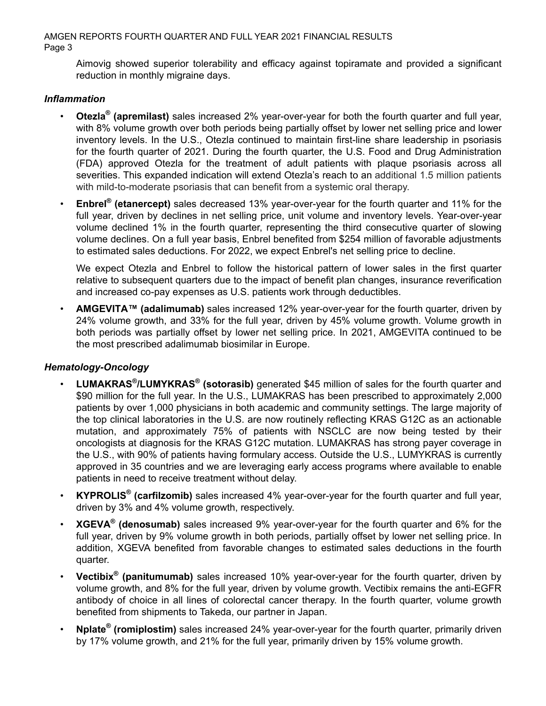Aimovig showed superior tolerability and efficacy against topiramate and provided a significant reduction in monthly migraine days.

### *Inflammation*

- **Otezla® (apremilast)** sales increased 2% year-over-year for both the fourth quarter and full year, with 8% volume growth over both periods being partially offset by lower net selling price and lower inventory levels. In the U.S., Otezla continued to maintain first-line share leadership in psoriasis for the fourth quarter of 2021. During the fourth quarter, the U.S. Food and Drug Administration (FDA) approved Otezla for the treatment of adult patients with plaque psoriasis across all severities. This expanded indication will extend Otezla's reach to an additional 1.5 million patients with mild-to-moderate psoriasis that can benefit from a systemic oral therapy.
- **Enbrel® (etanercept)** sales decreased 13% year-over-year for the fourth quarter and 11% for the full year, driven by declines in net selling price, unit volume and inventory levels. Year-over-year volume declined 1% in the fourth quarter, representing the third consecutive quarter of slowing volume declines. On a full year basis, Enbrel benefited from \$254 million of favorable adjustments to estimated sales deductions. For 2022, we expect Enbrel's net selling price to decline.

We expect Otezla and Enbrel to follow the historical pattern of lower sales in the first quarter relative to subsequent quarters due to the impact of benefit plan changes, insurance reverification and increased co-pay expenses as U.S. patients work through deductibles.

• **AMGEVITA™ (adalimumab)** sales increased 12% year-over-year for the fourth quarter, driven by 24% volume growth, and 33% for the full year, driven by 45% volume growth. Volume growth in both periods was partially offset by lower net selling price. In 2021, AMGEVITA continued to be the most prescribed adalimumab biosimilar in Europe.

### *Hematology-Oncology*

- **LUMAKRAS® /LUMYKRAS® (sotorasib)** generated \$45 million of sales for the fourth quarter and \$90 million for the full year. In the U.S., LUMAKRAS has been prescribed to approximately 2,000 patients by over 1,000 physicians in both academic and community settings. The large majority of the top clinical laboratories in the U.S. are now routinely reflecting KRAS G12C as an actionable mutation, and approximately 75% of patients with NSCLC are now being tested by their oncologists at diagnosis for the KRAS G12C mutation. LUMAKRAS has strong payer coverage in the U.S., with 90% of patients having formulary access. Outside the U.S., LUMYKRAS is currently approved in 35 countries and we are leveraging early access programs where available to enable patients in need to receive treatment without delay.
- **KYPROLIS® (carfilzomib)** sales increased 4% year-over-year for the fourth quarter and full year, driven by 3% and 4% volume growth, respectively.
- **XGEVA® (denosumab)** sales increased 9% year-over-year for the fourth quarter and 6% for the full year, driven by 9% volume growth in both periods, partially offset by lower net selling price. In addition, XGEVA benefited from favorable changes to estimated sales deductions in the fourth quarter.
- **Vectibix® (panitumumab)** sales increased 10% year-over-year for the fourth quarter, driven by volume growth, and 8% for the full year, driven by volume growth. Vectibix remains the anti-EGFR antibody of choice in all lines of colorectal cancer therapy. In the fourth quarter, volume growth benefited from shipments to Takeda, our partner in Japan.
- **Nplate® (romiplostim)** sales increased 24% year-over-year for the fourth quarter, primarily driven by 17% volume growth, and 21% for the full year, primarily driven by 15% volume growth.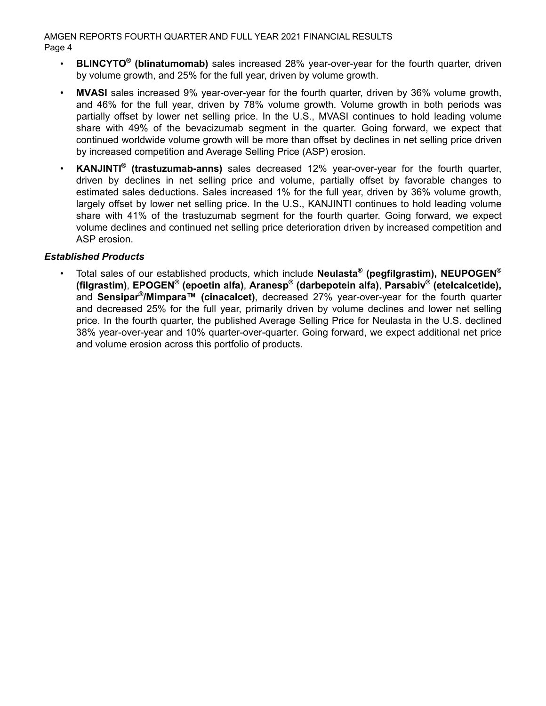- **BLINCYTO® (blinatumomab)** sales increased 28% year-over-year for the fourth quarter, driven by volume growth, and 25% for the full year, driven by volume growth.
- **MVASI** sales increased 9% year-over-year for the fourth quarter, driven by 36% volume growth, and 46% for the full year, driven by 78% volume growth. Volume growth in both periods was partially offset by lower net selling price. In the U.S., MVASI continues to hold leading volume share with 49% of the bevacizumab segment in the quarter. Going forward, we expect that continued worldwide volume growth will be more than offset by declines in net selling price driven by increased competition and Average Selling Price (ASP) erosion.
- **KANJINTI® (trastuzumab-anns)** sales decreased 12% year-over-year for the fourth quarter, driven by declines in net selling price and volume, partially offset by favorable changes to estimated sales deductions. Sales increased 1% for the full year, driven by 36% volume growth, largely offset by lower net selling price. In the U.S., KANJINTI continues to hold leading volume share with 41% of the trastuzumab segment for the fourth quarter. Going forward, we expect volume declines and continued net selling price deterioration driven by increased competition and ASP erosion.

### *Established Products*

• Total sales of our established products, which include **Neulasta® (pegfilgrastim), NEUPOGEN® (filgrastim)**, **EPOGEN® (epoetin alfa)**, **Aranesp® (darbepotein alfa)**, **Parsabiv® (etelcalcetide),**  and **Sensipar® /Mimpara™ (cinacalcet)**, decreased 27% year-over-year for the fourth quarter and decreased 25% for the full year, primarily driven by volume declines and lower net selling price. In the fourth quarter, the published Average Selling Price for Neulasta in the U.S. declined 38% year-over-year and 10% quarter-over-quarter. Going forward, we expect additional net price and volume erosion across this portfolio of products.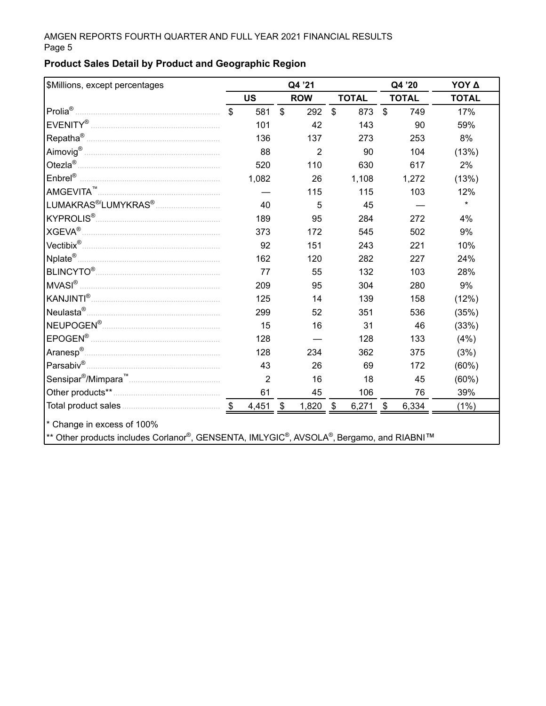# **Product Sales Detail by Product and Geographic Region**

| \$Millions, except percentages                                                          |                |                |                | Q4 '21         |                         | Q4 '20<br>ΥΟΥ Δ |                            |              |              |  |  |
|-----------------------------------------------------------------------------------------|----------------|----------------|----------------|----------------|-------------------------|-----------------|----------------------------|--------------|--------------|--|--|
|                                                                                         |                | <b>US</b>      |                | <b>ROW</b>     |                         | <b>TOTAL</b>    |                            | <b>TOTAL</b> | <b>TOTAL</b> |  |  |
| Prolia <sup>®</sup>                                                                     | $\mathfrak{S}$ | 581            | $\mathfrak{S}$ | 292            | $\mathfrak{S}$          | 873             | $\mathfrak{S}$             | 749          | 17%          |  |  |
|                                                                                         |                | 101            |                | 42             |                         | 143             |                            | 90           | 59%          |  |  |
|                                                                                         |                | 136            |                | 137            |                         | 273             |                            | 253          | 8%           |  |  |
|                                                                                         |                | 88             |                | $\overline{2}$ |                         | 90              |                            | 104          | (13%)        |  |  |
|                                                                                         |                | 520            |                | 110            |                         | 630             |                            | 617          | 2%           |  |  |
|                                                                                         |                | 1,082          |                | 26             |                         | 1,108           |                            | 1,272        | (13%)        |  |  |
|                                                                                         |                |                |                | 115            |                         | 115             |                            | 103          | 12%          |  |  |
|                                                                                         |                | 40             |                | 5              |                         | 45              |                            |              | $\star$      |  |  |
|                                                                                         |                | 189            |                | 95             |                         | 284             |                            | 272          | 4%           |  |  |
|                                                                                         |                | 373            |                | 172            |                         | 545             |                            | 502          | 9%           |  |  |
|                                                                                         |                | 92             |                | 151            |                         | 243             |                            | 221          | 10%          |  |  |
|                                                                                         |                | 162            |                | 120            |                         | 282             |                            | 227          | 24%          |  |  |
| BLINCYTO <sup>®</sup>                                                                   |                | 77             |                | 55             |                         | 132             |                            | 103          | 28%          |  |  |
|                                                                                         |                | 209            |                | 95             |                         | 304             |                            | 280          | 9%           |  |  |
|                                                                                         |                | 125            |                | 14             |                         | 139             |                            | 158          | (12%)        |  |  |
| Neulasta <sup>®</sup>                                                                   |                | 299            |                | 52             |                         | 351             |                            | 536          | (35%)        |  |  |
| NEUPOGEN <sup>®</sup>                                                                   |                | 15             |                | 16             |                         | 31              |                            | 46           | (33%)        |  |  |
|                                                                                         |                | 128            |                |                |                         | 128             |                            | 133          | (4%)         |  |  |
|                                                                                         |                | 128            |                | 234            |                         | 362             |                            | 375          | (3%)         |  |  |
|                                                                                         |                | 43             |                | 26             |                         | 69              |                            | 172          | (60%)        |  |  |
|                                                                                         |                | $\overline{2}$ |                | 16             |                         | 18              |                            | 45           | $(60\%)$     |  |  |
|                                                                                         |                | 61             |                | 45             |                         | 106             |                            | 76           | 39%          |  |  |
|                                                                                         |                | 4,451          | $\sqrt{2}$     | 1,820          | $\sqrt[6]{\frac{1}{2}}$ | 6,271           | $\boldsymbol{\mathsf{\$}}$ | 6,334        | (1%)         |  |  |
| * Change in excess of 100%                                                              |                |                |                |                |                         |                 |                            |              |              |  |  |
| ** Other products includes Corlanor®, GENSENTA, IMLYGIC®, AVSOLA®, Bergamo, and RIABNI™ |                |                |                |                |                         |                 |                            |              |              |  |  |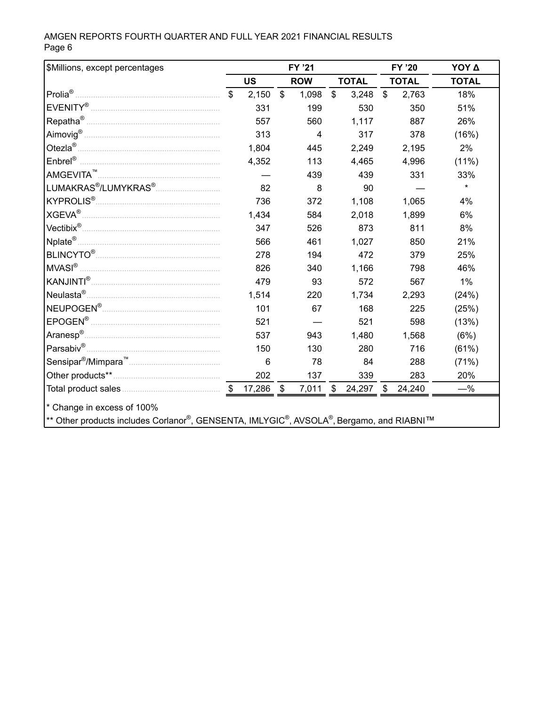| \$Millions, except percentages                                                          |              | FY '21         |                |            |                |              |                           | FY '20<br>ΥΟΥ Δ |              |  |
|-----------------------------------------------------------------------------------------|--------------|----------------|----------------|------------|----------------|--------------|---------------------------|-----------------|--------------|--|
|                                                                                         |              | <b>US</b>      |                | <b>ROW</b> |                | <b>TOTAL</b> |                           | <b>TOTAL</b>    | <b>TOTAL</b> |  |
| Prolia <sup>®</sup> .                                                                   | $\mathbb{S}$ | 2,150          | $\mathfrak{S}$ | 1,098      | $\mathfrak{S}$ | 3,248        | $\boldsymbol{\mathsf{S}}$ | 2,763           | 18%          |  |
|                                                                                         |              | 331            |                | 199        |                | 530          |                           | 350             | 51%          |  |
|                                                                                         |              | 557            |                | 560        |                | 1,117        |                           | 887             | 26%          |  |
|                                                                                         |              | 313            |                | 4          |                | 317          |                           | 378             | (16%)        |  |
|                                                                                         |              | 1,804          |                | 445        |                | 2,249        |                           | 2,195           | 2%           |  |
|                                                                                         |              | 4,352          |                | 113        |                | 4,465        |                           | 4,996           | $(11\%)$     |  |
|                                                                                         |              |                |                | 439        |                | 439          |                           | 331             | 33%          |  |
|                                                                                         |              | 82             |                | 8          |                | 90           |                           |                 | $\star$      |  |
| KYPROLIS <sup>®</sup>                                                                   |              | 736            |                | 372        |                | 1,108        |                           | 1,065           | 4%           |  |
| XGEVA®                                                                                  |              | 1,434          |                | 584        |                | 2,018        |                           | 1,899           | 6%           |  |
|                                                                                         |              | 347            |                | 526        |                | 873          |                           | 811             | 8%           |  |
|                                                                                         |              | 566            |                | 461        |                | 1,027        |                           | 850             | 21%          |  |
|                                                                                         |              | 278            |                | 194        |                | 472          |                           | 379             | 25%          |  |
| <b>MVASI®</b>                                                                           |              | 826            |                | 340        |                | 1,166        |                           | 798             | 46%          |  |
|                                                                                         |              | 479            |                | 93         |                | 572          |                           | 567             | 1%           |  |
|                                                                                         |              | 1,514          |                | 220        |                | 1,734        |                           | 2,293           | (24%)        |  |
|                                                                                         |              | 101            |                | 67         |                | 168          |                           | 225             | (25%)        |  |
|                                                                                         |              | 521            |                |            |                | 521          |                           | 598             | (13%)        |  |
|                                                                                         |              | 537            |                | 943        |                | 1,480        |                           | 1,568           | (6%)         |  |
|                                                                                         |              | 150            |                | 130        |                | 280          |                           | 716             | (61%)        |  |
|                                                                                         |              | $6\phantom{1}$ |                | 78         |                | 84           |                           | 288             | (71%)        |  |
|                                                                                         |              | 202            |                | 137        |                | 339          |                           | 283             | 20%          |  |
|                                                                                         |              | 17,286         | \$             | 7,011      | \$             | $24,297$ \$  |                           | 24,240          | $-\%$        |  |
| * Change in excess of 100%                                                              |              |                |                |            |                |              |                           |                 |              |  |
| ** Other products includes Corlanor®, GENSENTA, IMLYGIC®, AVSOLA®, Bergamo, and RIABNI™ |              |                |                |            |                |              |                           |                 |              |  |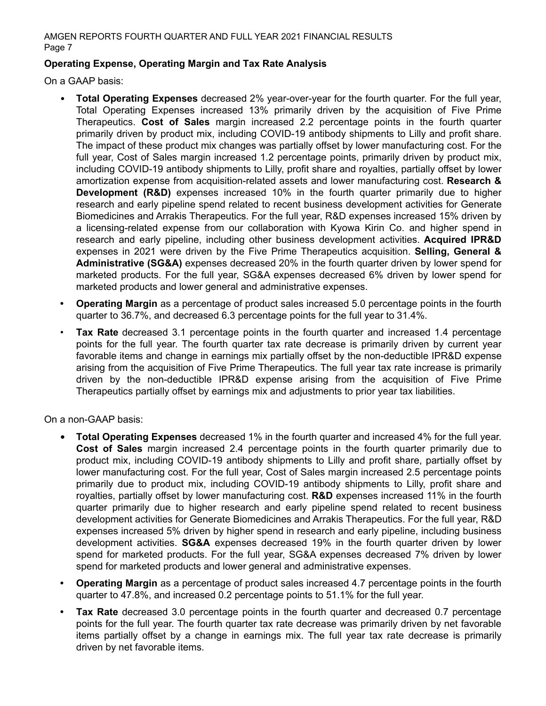# **Operating Expense, Operating Margin and Tax Rate Analysis**

On a GAAP basis:

- **Total Operating Expenses** decreased 2% year-over-year for the fourth quarter. For the full year, Total Operating Expenses increased 13% primarily driven by the acquisition of Five Prime Therapeutics. **Cost of Sales** margin increased 2.2 percentage points in the fourth quarter primarily driven by product mix, including COVID-19 antibody shipments to Lilly and profit share. The impact of these product mix changes was partially offset by lower manufacturing cost. For the full year, Cost of Sales margin increased 1.2 percentage points, primarily driven by product mix, including COVID-19 antibody shipments to Lilly, profit share and royalties, partially offset by lower amortization expense from acquisition-related assets and lower manufacturing cost. **Research & Development (R&D)** expenses increased 10% in the fourth quarter primarily due to higher research and early pipeline spend related to recent business development activities for Generate Biomedicines and Arrakis Therapeutics. For the full year, R&D expenses increased 15% driven by a licensing-related expense from our collaboration with Kyowa Kirin Co. and higher spend in research and early pipeline, including other business development activities. **Acquired IPR&D** expenses in 2021 were driven by the Five Prime Therapeutics acquisition. **Selling, General & Administrative (SG&A)** expenses decreased 20% in the fourth quarter driven by lower spend for marketed products. For the full year, SG&A expenses decreased 6% driven by lower spend for marketed products and lower general and administrative expenses.
- **• Operating Margin** as a percentage of product sales increased 5.0 percentage points in the fourth quarter to 36.7%, and decreased 6.3 percentage points for the full year to 31.4%.
- **Tax Rate** decreased 3.1 percentage points in the fourth quarter and increased 1.4 percentage points for the full year. The fourth quarter tax rate decrease is primarily driven by current year favorable items and change in earnings mix partially offset by the non-deductible IPR&D expense arising from the acquisition of Five Prime Therapeutics. The full year tax rate increase is primarily driven by the non-deductible IPR&D expense arising from the acquisition of Five Prime Therapeutics partially offset by earnings mix and adjustments to prior year tax liabilities.

On a non-GAAP basis:

- **• Total Operating Expenses** decreased 1% in the fourth quarter and increased 4% for the full year. **Cost of Sales** margin increased 2.4 percentage points in the fourth quarter primarily due to product mix, including COVID-19 antibody shipments to Lilly and profit share, partially offset by lower manufacturing cost. For the full year, Cost of Sales margin increased 2.5 percentage points primarily due to product mix, including COVID-19 antibody shipments to Lilly, profit share and royalties, partially offset by lower manufacturing cost. **R&D** expenses increased 11% in the fourth quarter primarily due to higher research and early pipeline spend related to recent business development activities for Generate Biomedicines and Arrakis Therapeutics. For the full year, R&D expenses increased 5% driven by higher spend in research and early pipeline, including business development activities. **SG&A** expenses decreased 19% in the fourth quarter driven by lower spend for marketed products. For the full year, SG&A expenses decreased 7% driven by lower spend for marketed products and lower general and administrative expenses.
- **• Operating Margin** as a percentage of product sales increased 4.7 percentage points in the fourth quarter to 47.8%, and increased 0.2 percentage points to 51.1% for the full year.
- **• Tax Rate** decreased 3.0 percentage points in the fourth quarter and decreased 0.7 percentage points for the full year. The fourth quarter tax rate decrease was primarily driven by net favorable items partially offset by a change in earnings mix. The full year tax rate decrease is primarily driven by net favorable items.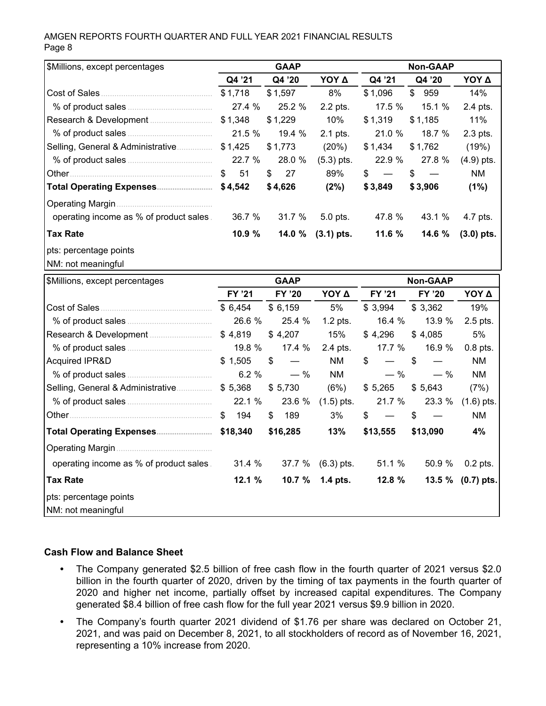| \$Millions, except percentages               |           | <b>GAAP</b> |              |                                | <b>Non-GAAP</b> |              |
|----------------------------------------------|-----------|-------------|--------------|--------------------------------|-----------------|--------------|
|                                              | Q4 '21    | Q4 '20      | ΥΟΥ Δ        | Q4 '21                         | Q4 '20          | ΥΟΥ Δ        |
|                                              | \$1,718   | \$1,597     | 8%           | \$1,096                        | \$959           | 14%          |
| % of product sales                           | 27.4 %    | 25.2 %      | 2.2 pts.     | 17.5 %                         | 15.1 %          | 2.4 pts.     |
|                                              | \$1,348   | \$1,229     | 10%          | \$1,319                        | \$1,185         | 11%          |
|                                              | 21.5 %    | 19.4 %      | 2.1 pts.     | 21.0 %                         | 18.7 %          | 2.3 pts.     |
| Selling, General & Administrative            | \$1,425   | \$1,773     | (20%)        | \$1,434                        | \$1,762         | (19%)        |
| % of product sales                           | 22.7 %    | 28.0 %      | $(5.3)$ pts. | 22.9 %                         | 27.8 %          | $(4.9)$ pts. |
| Other $\mathbb R$                            | 51<br>\$  | \$<br>27    | 89%          | \$                             | \$              | <b>NM</b>    |
|                                              | \$4,542   | \$4,626     | (2%)         | \$3,849                        | \$3,906         | (1%)         |
|                                              |           |             |              |                                |                 |              |
| operating income as % of product sales.      | 36.7 %    | 31.7 %      | 5.0 pts.     | 47.8 %                         | 43.1 %          | 4.7 pts.     |
| <b>Tax Rate</b>                              | 10.9 %    | 14.0 %      | $(3.1)$ pts. | 11.6 %                         | 14.6 %          | $(3.0)$ pts. |
| pts: percentage points                       |           |             |              |                                |                 |              |
| NM: not meaningful                           |           |             |              |                                |                 |              |
| \$Millions, except percentages               |           | <b>GAAP</b> |              |                                | <b>Non-GAAP</b> |              |
|                                              | FY '21    | FY '20      | ΥΟΥ Δ        | FY '21                         | FY '20          | ΥΟΥ Δ        |
|                                              | \$6,454   | \$6,159     | 5%           | \$3,994                        | \$3,362         | 19%          |
|                                              | 26.6 %    | 25.4 %      | $1.2$ pts.   | 16.4 %                         | 13.9 %          | 2.5 pts.     |
|                                              | \$4,819   | \$4,207     | 15%          | \$4,296                        | \$4,085         | 5%           |
| % of product sales                           | 19.8 %    | 17.4%       | 2.4 pts.     | 17.7 $%$                       | 16.9 %          | $0.8$ pts.   |
| <b>Acquired IPR&amp;D</b>                    | \$1,505   | \$          | <b>NM</b>    | \$                             | \$              | <b>NM</b>    |
| % of product sales                           | 6.2%      | $-$ %       | <b>NM</b>    | $-$ %                          | $-$ %           | <b>NM</b>    |
| Selling, General & Administrative            | \$5,368   | \$5,730     | (6%)         | \$5,265                        | \$5,643         | (7%)         |
| % of product sales                           | 22.1 %    | 23.6 %      | $(1.5)$ pts. | 21.7 %                         | 23.3 %          | $(1.6)$ pts. |
|                                              | 194<br>\$ | 189<br>\$   | 3%           | \$<br>$\overline{\phantom{m}}$ | \$              | <b>NM</b>    |
|                                              |           | \$16,285    | 13%          | \$13,555                       | \$13,090        | 4%           |
|                                              |           |             |              |                                |                 |              |
| operating income as % of product sales.      | 31.4 %    | 37.7 %      | $(6.3)$ pts. | 51.1 %                         | 50.9%           | $0.2$ pts.   |
| <b>Tax Rate</b>                              | 12.1 %    | 10.7 %      | $1.4$ pts.   | 12.8 %                         | 13.5 %          | $(0.7)$ pts. |
| pts: percentage points<br>NM: not meaningful |           |             |              |                                |                 |              |

# **Cash Flow and Balance Sheet**

- **•** The Company generated \$2.5 billion of free cash flow in the fourth quarter of 2021 versus \$2.0 billion in the fourth quarter of 2020, driven by the timing of tax payments in the fourth quarter of 2020 and higher net income, partially offset by increased capital expenditures. The Company generated \$8.4 billion of free cash flow for the full year 2021 versus \$9.9 billion in 2020.
- **•** The Company's fourth quarter 2021 dividend of \$1.76 per share was declared on October 21, 2021, and was paid on December 8, 2021, to all stockholders of record as of November 16, 2021, representing a 10% increase from 2020.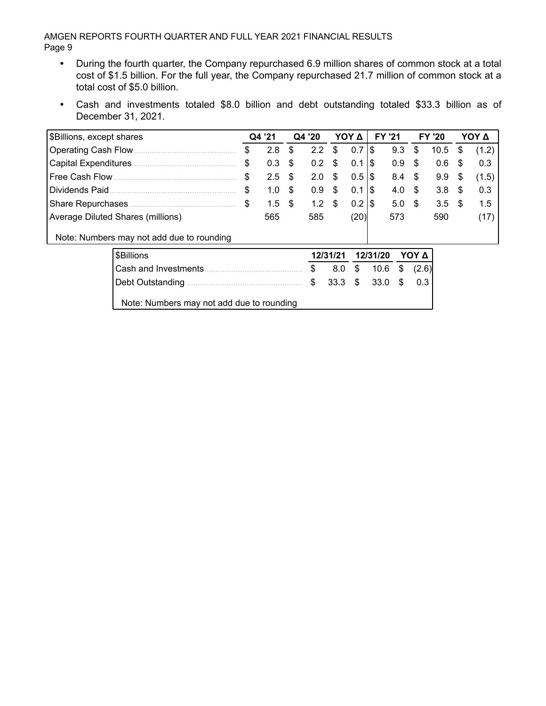- **•** During the fourth quarter, the Company repurchased 6.9 million shares of common stock at a total cost of \$1.5 billion. For the full year, the Company repurchased 21.7 million of common stock at a total cost of \$5.0 billion.
- **•** Cash and investments totaled \$8.0 billion and debt outstanding totaled \$33.3 billion as of December 31, 2021.

| \$Billions, except shares         | Q4 '21           |      | Q4 '20           |      | YOY Δ      | <b>FY '21</b> |      | <b>FY '20</b>    |      | ΥΟΥ Δ |
|-----------------------------------|------------------|------|------------------|------|------------|---------------|------|------------------|------|-------|
| Operating Cash Flow.              | 2.8              |      | $2.2^{\circ}$    | \$   | $0.7$ S    | 9.3           | S.   | 10.5             | \$.  | (1.2) |
| Capital Expenditures              | 0.3              | - \$ | 0.2              | - \$ | $0.1$ S    | 0.9           | S    | 0.6              | - \$ | 0.3   |
| <b>Free Cash Flow</b>             | 2.5 <sup>5</sup> |      | 2.0              | - \$ | $0.5$   \$ | 8.4           | - \$ | 9.9              | - \$ | (1.5) |
| Dividends Paid.                   | 1.0              | \$   | 0.9 <sub>0</sub> | S.   | $0.1$ S    | 4.0           | S    | 3.8 <sup>°</sup> | - \$ | 0.3   |
|                                   | 1.5              |      | 1.2              | \$   | $0.2$   \$ | 5.0           | -S   | 3.5              | - \$ | 1.5   |
| Average Diluted Shares (millions) | 565              |      | 585              |      | (20)       | 573           |      | 590              |      | (17)  |
|                                   |                  |      |                  |      |            |               |      |                  |      |       |

Note: Numbers may not add due to rounding

| SBillions                                 | 12/31/21 12/31/20 YOY Δ |  |                                 |  |  |  |
|-------------------------------------------|-------------------------|--|---------------------------------|--|--|--|
| l Cash and Investments.                   |                         |  | $8.0 \quad $10.6 \quad $ (2.6)$ |  |  |  |
| Debt Outstanding                          |                         |  | $$33.3$ \$ 33.0 \$ 0.3          |  |  |  |
| Note: Numbers may not add due to rounding |                         |  |                                 |  |  |  |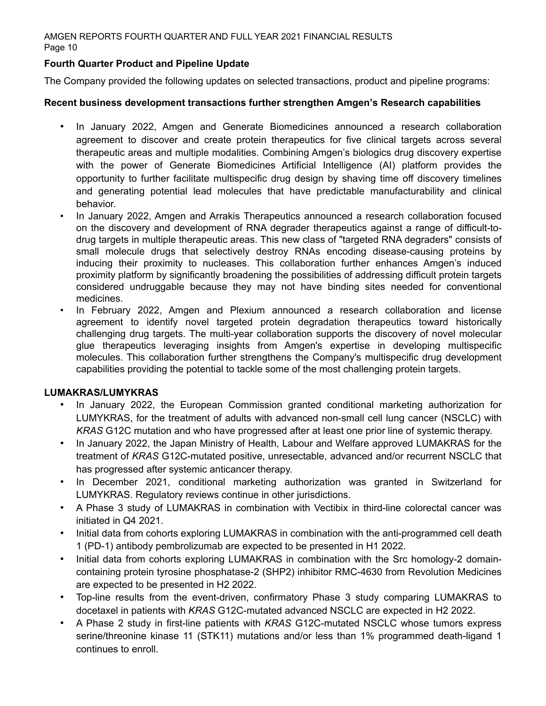# **Fourth Quarter Product and Pipeline Update**

The Company provided the following updates on selected transactions, product and pipeline programs:

# **Recent business development transactions further strengthen Amgen's Research capabilities**

- In January 2022, Amgen and Generate Biomedicines announced a research collaboration agreement to discover and create protein therapeutics for five clinical targets across several therapeutic areas and multiple modalities. Combining Amgen's biologics drug discovery expertise with the power of Generate Biomedicines Artificial Intelligence (AI) platform provides the opportunity to further facilitate multispecific drug design by shaving time off discovery timelines and generating potential lead molecules that have predictable manufacturability and clinical behavior.
- In January 2022, Amgen and Arrakis Therapeutics announced a research collaboration focused on the discovery and development of RNA degrader therapeutics against a range of difficult-todrug targets in multiple therapeutic areas. This new class of "targeted RNA degraders" consists of small molecule drugs that selectively destroy RNAs encoding disease-causing proteins by inducing their proximity to nucleases. This collaboration further enhances Amgen's induced proximity platform by significantly broadening the possibilities of addressing difficult protein targets considered undruggable because they may not have binding sites needed for conventional medicines.
- In February 2022, Amgen and Plexium announced a research collaboration and license agreement to identify novel targeted protein degradation therapeutics toward historically challenging drug targets. The multi-year collaboration supports the discovery of novel molecular glue therapeutics leveraging insights from Amgen's expertise in developing multispecific molecules. This collaboration further strengthens the Company's multispecific drug development capabilities providing the potential to tackle some of the most challenging protein targets.

# **LUMAKRAS/LUMYKRAS**

- In January 2022, the European Commission granted conditional marketing authorization for LUMYKRAS, for the treatment of adults with advanced non-small cell lung cancer (NSCLC) with *KRAS* G12C mutation and who have progressed after at least one prior line of systemic therapy.
- In January 2022, the Japan Ministry of Health, Labour and Welfare approved LUMAKRAS for the treatment of *KRAS* G12C-mutated positive, unresectable, advanced and/or recurrent NSCLC that has progressed after systemic anticancer therapy.
- In December 2021, conditional marketing authorization was granted in Switzerland for LUMYKRAS. Regulatory reviews continue in other jurisdictions.
- A Phase 3 study of LUMAKRAS in combination with Vectibix in third-line colorectal cancer was initiated in Q4 2021.
- Initial data from cohorts exploring LUMAKRAS in combination with the anti-programmed cell death 1 (PD-1) antibody pembrolizumab are expected to be presented in H1 2022.
- Initial data from cohorts exploring LUMAKRAS in combination with the Src homology-2 domaincontaining protein tyrosine phosphatase-2 (SHP2) inhibitor RMC-4630 from Revolution Medicines are expected to be presented in H2 2022.
- Top-line results from the event-driven, confirmatory Phase 3 study comparing LUMAKRAS to docetaxel in patients with *KRAS* G12C-mutated advanced NSCLC are expected in H2 2022.
- A Phase 2 study in first-line patients with *KRAS* G12C-mutated NSCLC whose tumors express serine/threonine kinase 11 (STK11) mutations and/or less than 1% programmed death-ligand 1 continues to enroll.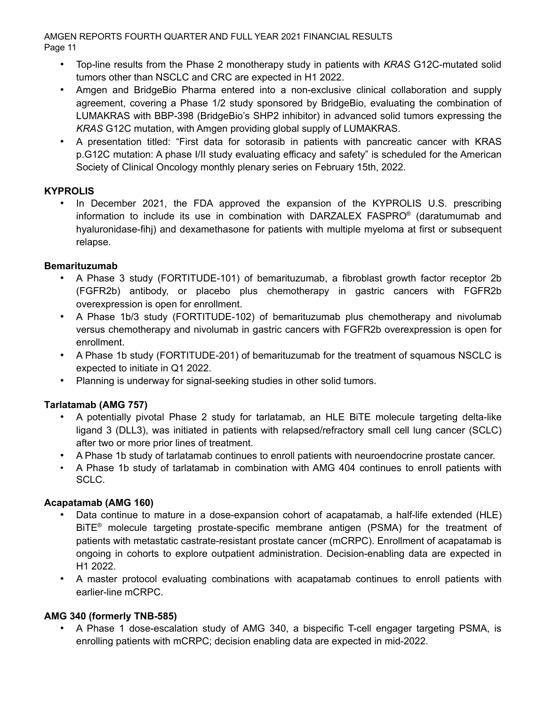- Top-line results from the Phase 2 monotherapy study in patients with *KRAS* G12C-mutated solid tumors other than NSCLC and CRC are expected in H1 2022.
- Amgen and BridgeBio Pharma entered into a non-exclusive clinical collaboration and supply agreement, covering a Phase 1/2 study sponsored by BridgeBio, evaluating the combination of LUMAKRAS with BBP-398 (BridgeBio's SHP2 inhibitor) in advanced solid tumors expressing the *KRAS* G12C mutation, with Amgen providing global supply of LUMAKRAS.
- A presentation titled: "First data for sotorasib in patients with pancreatic cancer with KRAS p.G12C mutation: A phase I/II study evaluating efficacy and safety" is scheduled for the American Society of Clinical Oncology monthly plenary series on February 15th, 2022.

# **KYPROLIS**

• In December 2021, the FDA approved the expansion of the KYPROLIS U.S. prescribing information to include its use in combination with DARZALEX FASPRO® (daratumumab and hyaluronidase-fihj) and dexamethasone for patients with multiple myeloma at first or subsequent relapse.

# **Bemarituzumab**

- A Phase 3 study (FORTITUDE-101) of bemarituzumab, a fibroblast growth factor receptor 2b (FGFR2b) antibody, or placebo plus chemotherapy in gastric cancers with FGFR2b overexpression is open for enrollment.
- A Phase 1b/3 study (FORTITUDE-102) of bemarituzumab plus chemotherapy and nivolumab versus chemotherapy and nivolumab in gastric cancers with FGFR2b overexpression is open for enrollment.
- A Phase 1b study (FORTITUDE-201) of bemarituzumab for the treatment of squamous NSCLC is expected to initiate in Q1 2022.
- Planning is underway for signal-seeking studies in other solid tumors.

# **Tarlatamab (AMG 757)**

- A potentially pivotal Phase 2 study for tarlatamab, an HLE BiTE molecule targeting delta-like ligand 3 (DLL3), was initiated in patients with relapsed/refractory small cell lung cancer (SCLC) after two or more prior lines of treatment.
- A Phase 1b study of tarlatamab continues to enroll patients with neuroendocrine prostate cancer.
- A Phase 1b study of tarlatamab in combination with AMG 404 continues to enroll patients with SCLC.

# **Acapatamab (AMG 160)**

- Data continue to mature in a dose-expansion cohort of acapatamab, a half-life extended (HLE) BiTE<sup>®</sup> molecule targeting prostate-specific membrane antigen (PSMA) for the treatment of patients with metastatic castrate-resistant prostate cancer (mCRPC). Enrollment of acapatamab is ongoing in cohorts to explore outpatient administration. Decision-enabling data are expected in H1 2022.
- A master protocol evaluating combinations with acapatamab continues to enroll patients with earlier-line mCRPC.

# **AMG 340 (formerly TNB-585)**

• A Phase 1 dose-escalation study of AMG 340, a bispecific T-cell engager targeting PSMA, is enrolling patients with mCRPC; decision enabling data are expected in mid-2022.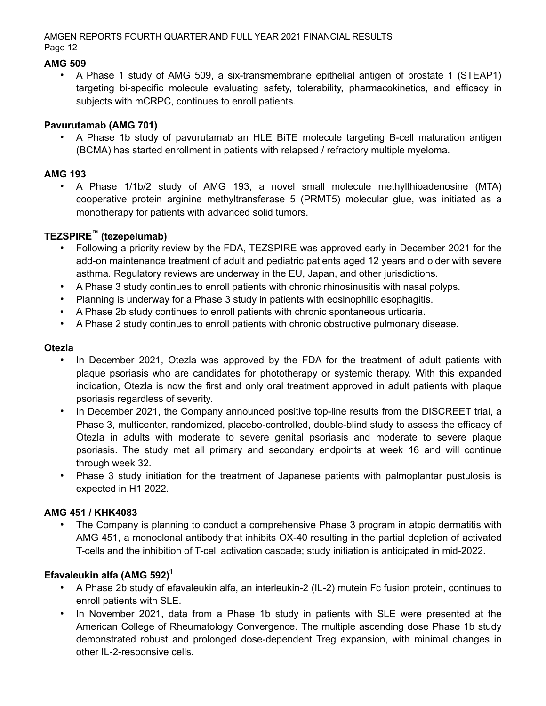# **AMG 509**

• A Phase 1 study of AMG 509, a six-transmembrane epithelial antigen of prostate 1 (STEAP1) targeting bi-specific molecule evaluating safety, tolerability, pharmacokinetics, and efficacy in subjects with mCRPC, continues to enroll patients.

# **Pavurutamab (AMG 701)**

• A Phase 1b study of pavurutamab an HLE BiTE molecule targeting B-cell maturation antigen (BCMA) has started enrollment in patients with relapsed / refractory multiple myeloma.

# **AMG 193**

• A Phase 1/1b/2 study of AMG 193, a novel small molecule methylthioadenosine (MTA) cooperative protein arginine methyltransferase 5 (PRMT5) molecular glue, was initiated as a monotherapy for patients with advanced solid tumors.

# **TEZSPIRE™ (tezepelumab)**

- Following a priority review by the FDA, TEZSPIRE was approved early in December 2021 for the add-on maintenance treatment of adult and pediatric patients aged 12 years and older with severe asthma. Regulatory reviews are underway in the EU, Japan, and other jurisdictions.
- A Phase 3 study continues to enroll patients with chronic rhinosinusitis with nasal polyps.
- Planning is underway for a Phase 3 study in patients with eosinophilic esophagitis.
- A Phase 2b study continues to enroll patients with chronic spontaneous urticaria.
- A Phase 2 study continues to enroll patients with chronic obstructive pulmonary disease.

### **Otezla**

- In December 2021, Otezla was approved by the FDA for the treatment of adult patients with plaque psoriasis who are candidates for phototherapy or systemic therapy. With this expanded indication, Otezla is now the first and only oral treatment approved in adult patients with plaque psoriasis regardless of severity.
- In December 2021, the Company announced positive top-line results from the DISCREET trial, a Phase 3, multicenter, randomized, placebo-controlled, double-blind study to assess the efficacy of Otezla in adults with moderate to severe genital psoriasis and moderate to severe plaque psoriasis. The study met all primary and secondary endpoints at week 16 and will continue through week 32.
- Phase 3 study initiation for the treatment of Japanese patients with palmoplantar pustulosis is expected in H1 2022.

# **AMG 451 / KHK4083**

The Company is planning to conduct a comprehensive Phase 3 program in atopic dermatitis with AMG 451, a monoclonal antibody that inhibits OX-40 resulting in the partial depletion of activated T-cells and the inhibition of T-cell activation cascade; study initiation is anticipated in mid-2022.

# **Efavaleukin alfa (AMG 592)<sup>1</sup>**

- A Phase 2b study of efavaleukin alfa, an interleukin-2 (IL-2) mutein Fc fusion protein, continues to enroll patients with SLE.
- In November 2021, data from a Phase 1b study in patients with SLE were presented at the American College of Rheumatology Convergence. The multiple ascending dose Phase 1b study demonstrated robust and prolonged dose-dependent Treg expansion, with minimal changes in other IL-2-responsive cells.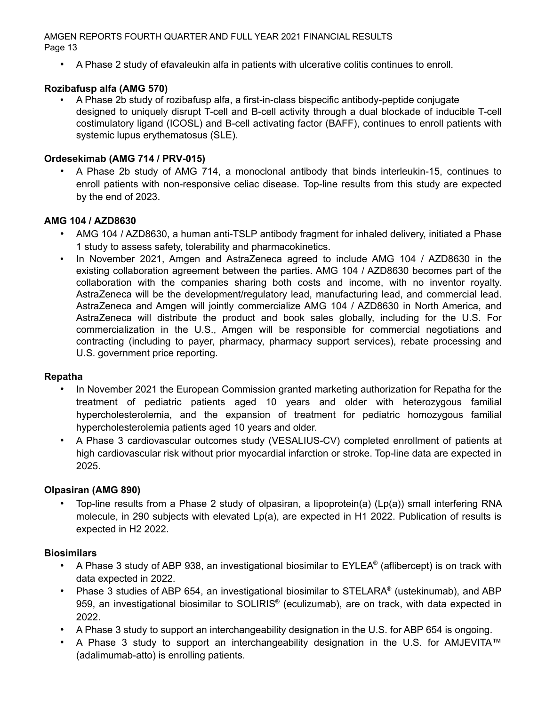• A Phase 2 study of efavaleukin alfa in patients with ulcerative colitis continues to enroll.

# **Rozibafusp alfa (AMG 570)**

• A Phase 2b study of rozibafusp alfa, a first-in-class bispecific antibody-peptide conjugate designed to uniquely disrupt T-cell and B-cell activity through a dual blockade of inducible T-cell costimulatory ligand (ICOSL) and B-cell activating factor (BAFF), continues to enroll patients with systemic lupus erythematosus (SLE).

# **Ordesekimab (AMG 714 / PRV-015)**

• A Phase 2b study of AMG 714, a monoclonal antibody that binds interleukin-15, continues to enroll patients with non-responsive celiac disease. Top-line results from this study are expected by the end of 2023.

### **AMG 104 / AZD8630**

- AMG 104 / AZD8630, a human anti-TSLP antibody fragment for inhaled delivery, initiated a Phase 1 study to assess safety, tolerability and pharmacokinetics.
- In November 2021, Amgen and AstraZeneca agreed to include AMG 104 / AZD8630 in the existing collaboration agreement between the parties. AMG 104 / AZD8630 becomes part of the collaboration with the companies sharing both costs and income, with no inventor royalty. AstraZeneca will be the development/regulatory lead, manufacturing lead, and commercial lead. AstraZeneca and Amgen will jointly commercialize AMG 104 / AZD8630 in North America, and AstraZeneca will distribute the product and book sales globally, including for the U.S. For commercialization in the U.S., Amgen will be responsible for commercial negotiations and contracting (including to payer, pharmacy, pharmacy support services), rebate processing and U.S. government price reporting.

### **Repatha**

- In November 2021 the European Commission granted marketing authorization for Repatha for the treatment of pediatric patients aged 10 years and older with heterozygous familial hypercholesterolemia, and the expansion of treatment for pediatric homozygous familial hypercholesterolemia patients aged 10 years and older.
- A Phase 3 cardiovascular outcomes study (VESALIUS-CV) completed enrollment of patients at high cardiovascular risk without prior myocardial infarction or stroke. Top-line data are expected in 2025.

### **Olpasiran (AMG 890)**

• Top-line results from a Phase 2 study of olpasiran, a lipoprotein(a) (Lp(a)) small interfering RNA molecule, in 290 subjects with elevated Lp(a), are expected in H1 2022. Publication of results is expected in H2 2022.

### **Biosimilars**

- A Phase 3 study of ABP 938, an investigational biosimilar to  $EYLEA<sup>®</sup>$  (aflibercept) is on track with data expected in 2022.
- Phase 3 studies of ABP 654, an investigational biosimilar to STELARA® (ustekinumab), and ABP 959, an investigational biosimilar to SOLIRIS® (eculizumab), are on track, with data expected in 2022.
- A Phase 3 study to support an interchangeability designation in the U.S. for ABP 654 is ongoing.
- A Phase 3 study to support an interchangeability designation in the U.S. for AMJEVITA™ (adalimumab-atto) is enrolling patients.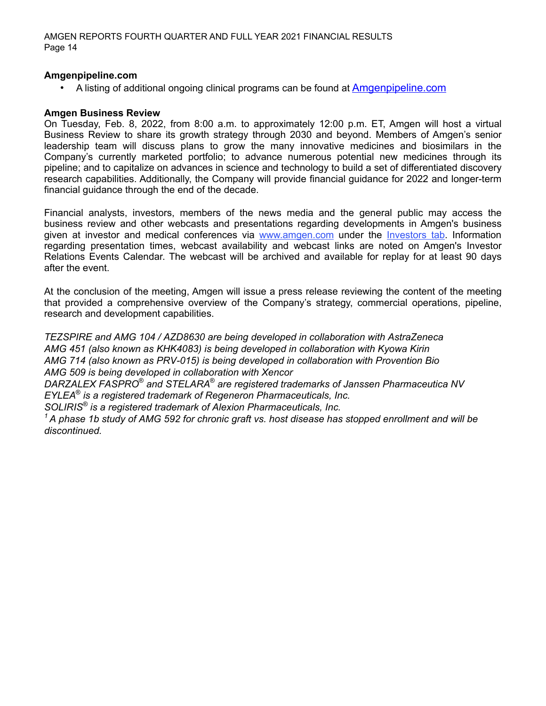### **Amgenpipeline.com**

A listing of additional ongoing clinical programs can be found at **Amgenpipeline.com** 

### **Amgen Business Review**

On Tuesday, Feb. 8, 2022, from 8:00 a.m. to approximately 12:00 p.m. ET, Amgen will host a virtual Business Review to share its growth strategy through 2030 and beyond. Members of Amgen's senior leadership team will discuss plans to grow the many innovative medicines and biosimilars in the Company's currently marketed portfolio; to advance numerous potential new medicines through its pipeline; and to capitalize on advances in science and technology to build a set of differentiated discovery research capabilities. Additionally, the Company will provide financial guidance for 2022 and longer-term financial guidance through the end of the decade.

Financial analysts, investors, members of the news media and the general public may access the business review and other webcasts and presentations regarding developments in Amgen's business given at investor and medical conferences via www.amgen.com under the Investors tab. Information regarding presentation times, webcast availability and webcast links are noted on Amgen's Investor Relations Events Calendar. The webcast will be archived and available for replay for at least 90 days after the event.

At the conclusion of the meeting, Amgen will issue a press release reviewing the content of the meeting that provided a comprehensive overview of the Company's strategy, commercial operations, pipeline, research and development capabilities.

*TEZSPIRE and AMG 104 / AZD8630 are being developed in collaboration with AstraZeneca AMG 451 (also known as KHK4083) is being developed in collaboration with Kyowa Kirin AMG 714 (also known as PRV-015) is being developed in collaboration with Provention Bio AMG 509 is being developed in collaboration with Xencor*

*DARZALEX FASPRO*®  *and STELARA*®  *are registered trademarks of Janssen Pharmaceutica NV EYLEA*®  *is a registered trademark of Regeneron Pharmaceuticals, Inc.*

*SOLIRIS® is a registered trademark of Alexion Pharmaceuticals, Inc.*

*<sup>1</sup>A phase 1b study of AMG 592 for chronic graft vs. host disease has stopped enrollment and will be discontinued.*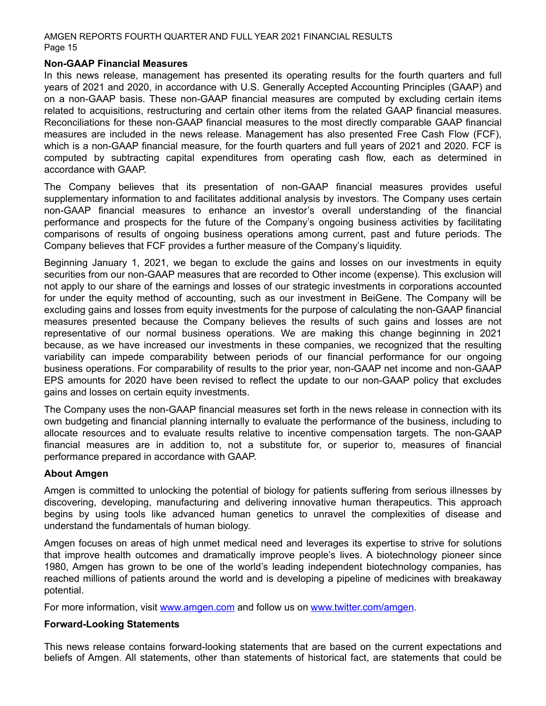### **Non-GAAP Financial Measures**

In this news release, management has presented its operating results for the fourth quarters and full years of 2021 and 2020, in accordance with U.S. Generally Accepted Accounting Principles (GAAP) and on a non-GAAP basis. These non-GAAP financial measures are computed by excluding certain items related to acquisitions, restructuring and certain other items from the related GAAP financial measures. Reconciliations for these non-GAAP financial measures to the most directly comparable GAAP financial measures are included in the news release. Management has also presented Free Cash Flow (FCF), which is a non-GAAP financial measure, for the fourth quarters and full years of 2021 and 2020. FCF is computed by subtracting capital expenditures from operating cash flow, each as determined in accordance with GAAP.

The Company believes that its presentation of non-GAAP financial measures provides useful supplementary information to and facilitates additional analysis by investors. The Company uses certain non-GAAP financial measures to enhance an investor's overall understanding of the financial performance and prospects for the future of the Company's ongoing business activities by facilitating comparisons of results of ongoing business operations among current, past and future periods. The Company believes that FCF provides a further measure of the Company's liquidity.

Beginning January 1, 2021, we began to exclude the gains and losses on our investments in equity securities from our non-GAAP measures that are recorded to Other income (expense). This exclusion will not apply to our share of the earnings and losses of our strategic investments in corporations accounted for under the equity method of accounting, such as our investment in BeiGene. The Company will be excluding gains and losses from equity investments for the purpose of calculating the non-GAAP financial measures presented because the Company believes the results of such gains and losses are not representative of our normal business operations. We are making this change beginning in 2021 because, as we have increased our investments in these companies, we recognized that the resulting variability can impede comparability between periods of our financial performance for our ongoing business operations. For comparability of results to the prior year, non-GAAP net income and non-GAAP EPS amounts for 2020 have been revised to reflect the update to our non-GAAP policy that excludes gains and losses on certain equity investments.

The Company uses the non-GAAP financial measures set forth in the news release in connection with its own budgeting and financial planning internally to evaluate the performance of the business, including to allocate resources and to evaluate results relative to incentive compensation targets. The non-GAAP financial measures are in addition to, not a substitute for, or superior to, measures of financial performance prepared in accordance with GAAP.

### **About Amgen**

Amgen is committed to unlocking the potential of biology for patients suffering from serious illnesses by discovering, developing, manufacturing and delivering innovative human therapeutics. This approach begins by using tools like advanced human genetics to unravel the complexities of disease and understand the fundamentals of human biology.

Amgen focuses on areas of high unmet medical need and leverages its expertise to strive for solutions that improve health outcomes and dramatically improve people's lives. A biotechnology pioneer since 1980, Amgen has grown to be one of the world's leading independent biotechnology companies, has reached millions of patients around the world and is developing a pipeline of medicines with breakaway potential.

For more information, visit www.amgen.com and follow us on www.twitter.com/amgen.

### **Forward-Looking Statements**

This news release contains forward-looking statements that are based on the current expectations and beliefs of Amgen. All statements, other than statements of historical fact, are statements that could be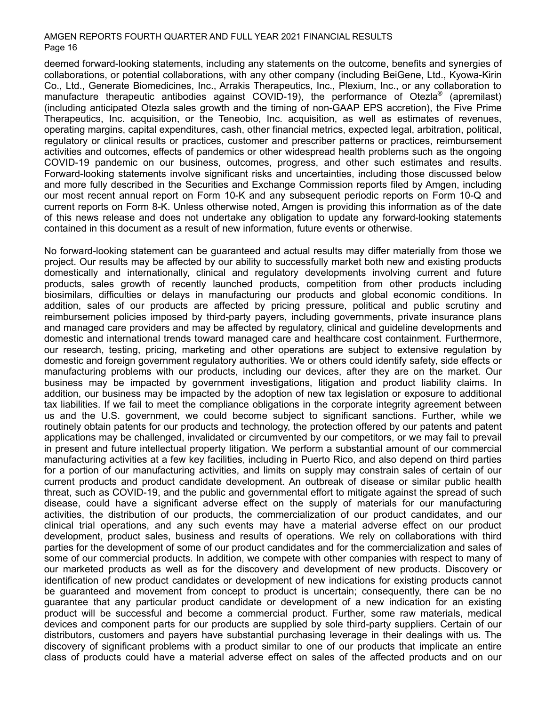deemed forward-looking statements, including any statements on the outcome, benefits and synergies of collaborations, or potential collaborations, with any other company (including BeiGene, Ltd., Kyowa-Kirin Co., Ltd., Generate Biomedicines, Inc., Arrakis Therapeutics, Inc., Plexium, Inc., or any collaboration to manufacture therapeutic antibodies against COVID-19), the performance of Otezla<sup>®</sup> (apremilast) (including anticipated Otezla sales growth and the timing of non-GAAP EPS accretion), the Five Prime Therapeutics, Inc. acquisition, or the Teneobio, Inc. acquisition, as well as estimates of revenues, operating margins, capital expenditures, cash, other financial metrics, expected legal, arbitration, political, regulatory or clinical results or practices, customer and prescriber patterns or practices, reimbursement activities and outcomes, effects of pandemics or other widespread health problems such as the ongoing COVID-19 pandemic on our business, outcomes, progress, and other such estimates and results. Forward-looking statements involve significant risks and uncertainties, including those discussed below and more fully described in the Securities and Exchange Commission reports filed by Amgen, including our most recent annual report on Form 10-K and any subsequent periodic reports on Form 10-Q and current reports on Form 8-K. Unless otherwise noted, Amgen is providing this information as of the date of this news release and does not undertake any obligation to update any forward-looking statements contained in this document as a result of new information, future events or otherwise.

No forward-looking statement can be guaranteed and actual results may differ materially from those we project. Our results may be affected by our ability to successfully market both new and existing products domestically and internationally, clinical and regulatory developments involving current and future products, sales growth of recently launched products, competition from other products including biosimilars, difficulties or delays in manufacturing our products and global economic conditions. In addition, sales of our products are affected by pricing pressure, political and public scrutiny and reimbursement policies imposed by third-party payers, including governments, private insurance plans and managed care providers and may be affected by regulatory, clinical and guideline developments and domestic and international trends toward managed care and healthcare cost containment. Furthermore, our research, testing, pricing, marketing and other operations are subject to extensive regulation by domestic and foreign government regulatory authorities. We or others could identify safety, side effects or manufacturing problems with our products, including our devices, after they are on the market. Our business may be impacted by government investigations, litigation and product liability claims. In addition, our business may be impacted by the adoption of new tax legislation or exposure to additional tax liabilities. If we fail to meet the compliance obligations in the corporate integrity agreement between us and the U.S. government, we could become subject to significant sanctions. Further, while we routinely obtain patents for our products and technology, the protection offered by our patents and patent applications may be challenged, invalidated or circumvented by our competitors, or we may fail to prevail in present and future intellectual property litigation. We perform a substantial amount of our commercial manufacturing activities at a few key facilities, including in Puerto Rico, and also depend on third parties for a portion of our manufacturing activities, and limits on supply may constrain sales of certain of our current products and product candidate development. An outbreak of disease or similar public health threat, such as COVID-19, and the public and governmental effort to mitigate against the spread of such disease, could have a significant adverse effect on the supply of materials for our manufacturing activities, the distribution of our products, the commercialization of our product candidates, and our clinical trial operations, and any such events may have a material adverse effect on our product development, product sales, business and results of operations. We rely on collaborations with third parties for the development of some of our product candidates and for the commercialization and sales of some of our commercial products. In addition, we compete with other companies with respect to many of our marketed products as well as for the discovery and development of new products. Discovery or identification of new product candidates or development of new indications for existing products cannot be guaranteed and movement from concept to product is uncertain; consequently, there can be no guarantee that any particular product candidate or development of a new indication for an existing product will be successful and become a commercial product. Further, some raw materials, medical devices and component parts for our products are supplied by sole third-party suppliers. Certain of our distributors, customers and payers have substantial purchasing leverage in their dealings with us. The discovery of significant problems with a product similar to one of our products that implicate an entire class of products could have a material adverse effect on sales of the affected products and on our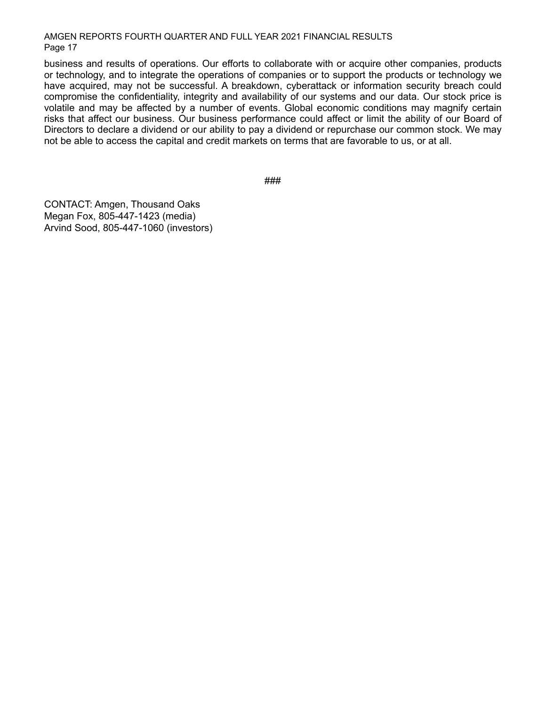business and results of operations. Our efforts to collaborate with or acquire other companies, products or technology, and to integrate the operations of companies or to support the products or technology we have acquired, may not be successful. A breakdown, cyberattack or information security breach could compromise the confidentiality, integrity and availability of our systems and our data. Our stock price is volatile and may be affected by a number of events. Global economic conditions may magnify certain risks that affect our business. Our business performance could affect or limit the ability of our Board of Directors to declare a dividend or our ability to pay a dividend or repurchase our common stock. We may not be able to access the capital and credit markets on terms that are favorable to us, or at all.

```
###
```
CONTACT: Amgen, Thousand Oaks Megan Fox, 805-447-1423 (media) Arvind Sood, 805-447-1060 (investors)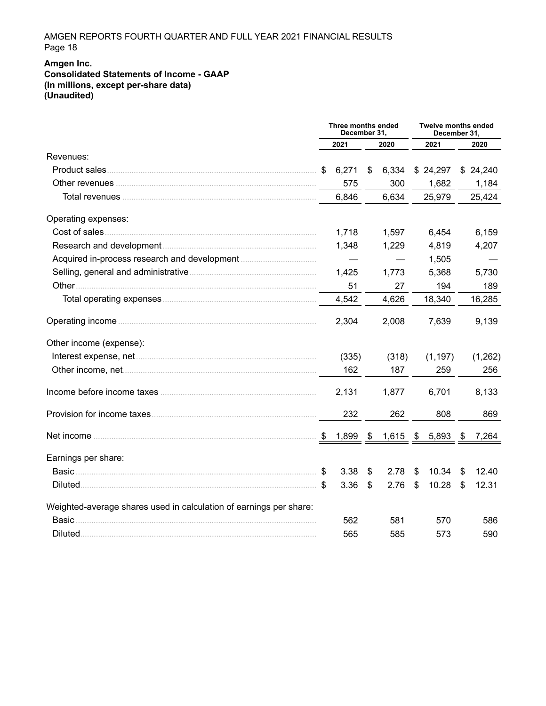### **Amgen Inc. Consolidated Statements of Income - GAAP (In millions, except per-share data) (Unaudited)**

|                                                                    | Three months ended<br>December 31, |       |    |       |    | <b>Twelve months ended</b><br>December 31, |             |
|--------------------------------------------------------------------|------------------------------------|-------|----|-------|----|--------------------------------------------|-------------|
|                                                                    |                                    | 2021  |    | 2020  |    | 2021                                       | 2020        |
| Revenues:                                                          |                                    |       |    |       |    |                                            |             |
|                                                                    | S.                                 | 6,271 | S  | 6,334 |    | \$24,297                                   | \$24,240    |
|                                                                    |                                    | 575   |    | 300   |    | 1,682                                      | 1,184       |
|                                                                    |                                    | 6,846 |    | 6,634 |    | 25,979                                     | 25,424      |
| Operating expenses:                                                |                                    |       |    |       |    |                                            |             |
|                                                                    |                                    | 1,718 |    | 1,597 |    | 6,454                                      | 6,159       |
|                                                                    |                                    | 1,348 |    | 1,229 |    | 4,819                                      | 4,207       |
|                                                                    |                                    |       |    |       |    | 1,505                                      |             |
|                                                                    |                                    | 1,425 |    | 1,773 |    | 5,368                                      | 5,730       |
|                                                                    |                                    | 51    |    | 27    |    | 194                                        | 189         |
|                                                                    |                                    | 4,542 |    | 4,626 |    | 18,340                                     | 16,285      |
|                                                                    |                                    | 2,304 |    | 2,008 |    | 7,639                                      | 9,139       |
| Other income (expense):                                            |                                    |       |    |       |    |                                            |             |
|                                                                    |                                    | (335) |    | (318) |    | (1, 197)                                   | (1,262)     |
|                                                                    |                                    | 162   |    | 187   |    | 259                                        | 256         |
|                                                                    |                                    | 2,131 |    | 1,877 |    | 6,701                                      | 8,133       |
|                                                                    |                                    | 232   |    | 262   |    | 808                                        | 869         |
|                                                                    |                                    | 1,899 | \$ | 1,615 | \$ | 5,893                                      | \$<br>7,264 |
| Earnings per share:                                                |                                    |       |    |       |    |                                            |             |
|                                                                    |                                    | 3.38  | \$ | 2.78  | \$ | 10.34                                      | \$<br>12.40 |
|                                                                    |                                    | 3.36  | \$ | 2.76  | \$ | 10.28                                      | \$<br>12.31 |
| Weighted-average shares used in calculation of earnings per share: |                                    |       |    |       |    |                                            |             |
| Basic                                                              |                                    | 562   |    | 581   |    | 570                                        | 586         |
|                                                                    |                                    | 565   |    | 585   |    | 573                                        | 590         |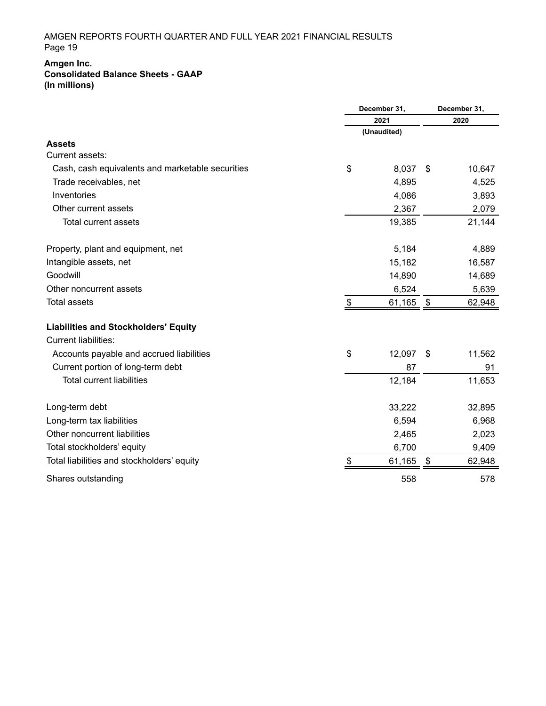### **Amgen Inc. Consolidated Balance Sheets - GAAP (In millions)**

|                                                  | December 31, | December 31, |        |  |  |  |  |
|--------------------------------------------------|--------------|--------------|--------|--|--|--|--|
|                                                  | 2021         |              | 2020   |  |  |  |  |
|                                                  | (Unaudited)  |              |        |  |  |  |  |
| <b>Assets</b>                                    |              |              |        |  |  |  |  |
| Current assets:                                  |              |              |        |  |  |  |  |
| Cash, cash equivalents and marketable securities | \$<br>8,037  | \$           | 10,647 |  |  |  |  |
| Trade receivables, net                           | 4,895        |              | 4,525  |  |  |  |  |
| Inventories                                      | 4,086        |              | 3,893  |  |  |  |  |
| Other current assets                             | 2,367        |              | 2,079  |  |  |  |  |
| <b>Total current assets</b>                      | 19,385       |              | 21,144 |  |  |  |  |
| Property, plant and equipment, net               | 5,184        |              | 4,889  |  |  |  |  |
| Intangible assets, net                           | 15,182       |              | 16,587 |  |  |  |  |
| Goodwill                                         | 14,890       |              | 14,689 |  |  |  |  |
| Other noncurrent assets                          | 6,524        |              | 5,639  |  |  |  |  |
| <b>Total assets</b>                              | \$<br>61,165 | \$           | 62,948 |  |  |  |  |
| <b>Liabilities and Stockholders' Equity</b>      |              |              |        |  |  |  |  |
| <b>Current liabilities:</b>                      |              |              |        |  |  |  |  |
| Accounts payable and accrued liabilities         | \$<br>12,097 | \$           | 11,562 |  |  |  |  |
| Current portion of long-term debt                | 87           |              | 91     |  |  |  |  |
| <b>Total current liabilities</b>                 | 12,184       |              | 11,653 |  |  |  |  |
| Long-term debt                                   | 33,222       |              | 32,895 |  |  |  |  |
| Long-term tax liabilities                        | 6,594        |              | 6,968  |  |  |  |  |
| Other noncurrent liabilities                     | 2,465        |              | 2,023  |  |  |  |  |
| Total stockholders' equity                       | 6,700        |              | 9,409  |  |  |  |  |
| Total liabilities and stockholders' equity       | \$<br>61,165 | \$           | 62,948 |  |  |  |  |
| Shares outstanding                               | 558          |              | 578    |  |  |  |  |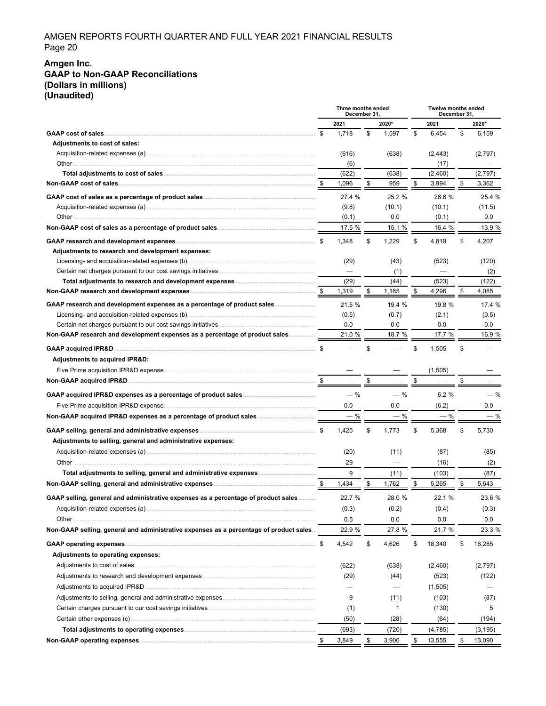### **Amgen Inc. GAAP to Non-GAAP Reconciliations (Dollars in millions) (Unaudited)**

|                                                                                        |      | Three months ended<br>December 31, | Twelve months ended<br>December 31, |        |                |          |    |          |
|----------------------------------------------------------------------------------------|------|------------------------------------|-------------------------------------|--------|----------------|----------|----|----------|
|                                                                                        |      | 2021                               |                                     | 2020*  |                | 2021     |    | 2020*    |
|                                                                                        | - \$ | 1.718                              | \$                                  | 1,597  | \$             | 6,454    | \$ | 6,159    |
| Adjustments to cost of sales:                                                          |      |                                    |                                     |        |                |          |    |          |
|                                                                                        |      | (616)                              |                                     | (638)  |                | (2, 443) |    | (2,797)  |
|                                                                                        |      | (6)                                |                                     |        |                | (17)     |    |          |
|                                                                                        |      | (622)                              |                                     | (638)  |                | (2,460)  |    | (2,797)  |
|                                                                                        |      | 1,096                              | \$                                  | 959    | \$             | 3,994    | \$ | 3,362    |
|                                                                                        |      | 27.4 %                             |                                     | 25.2 % |                | 26.6 %   |    | 25.4 %   |
|                                                                                        |      | (9.8)                              |                                     | (10.1) |                | (10.1)   |    | (11.5)   |
|                                                                                        |      | (0.1)                              |                                     | 0.0    |                | (0.1)    |    | 0.0      |
|                                                                                        |      | 17.5 %                             |                                     | 15.1 % |                | 16.4 %   |    | 13.9 %   |
|                                                                                        |      | 1,348                              | \$                                  | 1,229  | \$             | 4,819    | \$ | 4,207    |
| Adjustments to research and development expenses:                                      |      |                                    |                                     |        |                |          |    |          |
|                                                                                        |      | (29)                               |                                     | (43)   |                | (523)    |    | (120)    |
|                                                                                        |      |                                    |                                     | (1)    |                |          |    | (2)      |
|                                                                                        |      | (29)                               |                                     | (44)   |                | (523)    |    | (122)    |
|                                                                                        |      | 1,319                              | \$                                  | 1,185  | \$             | 4,296    | \$ | 4,085    |
| GAAP research and development expenses as a percentage of product sales                |      | 21.5 %                             |                                     | 19.4 % |                | 19.8 %   |    | 17.4 %   |
|                                                                                        |      | (0.5)                              |                                     | (0.7)  |                | (2.1)    |    | (0.5)    |
|                                                                                        |      | 0.0                                |                                     | 0.0    |                | 0.0      |    | 0.0      |
| Non-GAAP research and development expenses as a percentage of product sales            |      | 21.0 %                             |                                     | 18.7 % |                | 17.7 %   |    | 16.9 %   |
|                                                                                        |      |                                    |                                     |        | \$             | 1,505    | \$ |          |
| <b>Adjustments to acquired IPR&amp;D:</b>                                              |      |                                    |                                     |        |                |          |    |          |
|                                                                                        |      |                                    |                                     |        |                | (1,505)  |    |          |
|                                                                                        |      |                                    | \$                                  |        | $$\mathbb{S}$$ |          | \$ |          |
|                                                                                        |      | $-$ %                              |                                     | $-$ %  |                | 6.2%     |    | $-$ %    |
|                                                                                        |      | 0.0                                |                                     | 0.0    |                | (6.2)    |    | 0.0      |
|                                                                                        |      | $-$ %                              |                                     | $-$ %  |                | — %      |    | $-$ %    |
|                                                                                        |      |                                    |                                     |        |                |          |    |          |
|                                                                                        |      | 1,425                              | \$                                  | 1,773  | \$             | 5,368    | \$ | 5,730    |
| Adjustments to selling, general and administrative expenses:                           |      |                                    |                                     |        |                |          |    |          |
|                                                                                        |      | (20)                               |                                     | (11)   |                | (87)     |    | (85)     |
|                                                                                        |      | 29                                 |                                     |        |                | (16)     |    | (2)      |
|                                                                                        |      | 9                                  |                                     | (11)   |                | (103)    |    | (87)     |
|                                                                                        |      | 1,434                              | \$                                  | 1,762  | \$             | 5,265    | \$ | 5,643    |
| GAAP selling, general and administrative expenses as a percentage of product sales     |      | 22.7 %                             |                                     | 28.0 % |                | 22.1 %   |    | 23.6 %   |
|                                                                                        |      | (0.3)                              |                                     | (0.2)  |                | (0.4)    |    | (0.3)    |
| Other                                                                                  |      | 0.5                                |                                     | 0.0    |                | 0.0      |    | 0.0      |
| Non-GAAP selling, general and administrative expenses as a percentage of product sales |      | 22.9 %                             |                                     | 27.8 % |                | 21.7 %   |    | 23.3 %   |
|                                                                                        |      | 4,542                              | \$                                  | 4,626  | \$             | 18,340   | \$ | 16,285   |
| Adjustments to operating expenses:                                                     |      |                                    |                                     |        |                |          |    |          |
|                                                                                        |      | (622)                              |                                     | (638)  |                | (2,460)  |    | (2,797)  |
|                                                                                        |      | (29)                               |                                     | (44)   |                | (523)    |    | (122)    |
|                                                                                        |      |                                    |                                     |        |                | (1,505)  |    |          |
|                                                                                        |      | 9                                  |                                     | (11)   |                | (103)    |    | (87)     |
|                                                                                        |      | (1)                                |                                     | 1      |                | (130)    |    | 5        |
|                                                                                        |      | (50)                               |                                     | (28)   |                | (64)     |    | (194)    |
|                                                                                        |      | (693)                              |                                     | (720)  |                | (4,785)  |    | (3, 195) |
|                                                                                        |      | 3,849                              |                                     | 3,906  | \$             | 13,555   |    | 13,090   |
|                                                                                        |      |                                    |                                     |        |                |          |    |          |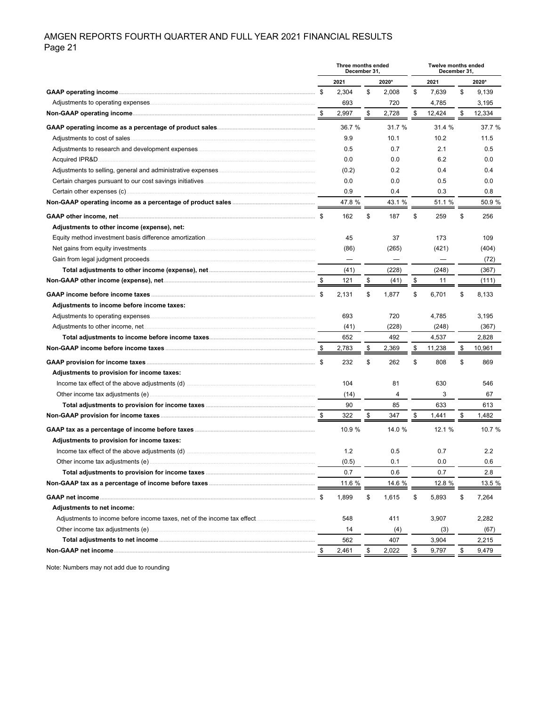|                                                                         |      | Three months ended<br>December 31, |    | <b>Twelve months ended</b><br>December 31. |              |    |        |  |
|-------------------------------------------------------------------------|------|------------------------------------|----|--------------------------------------------|--------------|----|--------|--|
|                                                                         |      | 2021                               |    | 2020*                                      | 2021         |    | 2020*  |  |
|                                                                         | - \$ | 2,304                              | \$ | 2,008                                      | \$<br>7,639  | \$ | 9,139  |  |
|                                                                         |      | 693                                |    | 720                                        | 4,785        |    | 3,195  |  |
|                                                                         |      | 2,997                              | \$ | 2,728                                      | \$<br>12,424 | \$ | 12,334 |  |
|                                                                         |      | 36.7 %                             |    | 31.7 %                                     | 31.4 %       |    | 37.7 % |  |
|                                                                         |      | 9.9                                |    | 10.1                                       | 10.2         |    | 11.5   |  |
|                                                                         |      | 0.5                                |    | 0.7                                        | 2.1          |    | 0.5    |  |
| Acquired IPR&D.                                                         |      | 0.0                                |    | 0.0                                        | 6.2          |    | 0.0    |  |
|                                                                         |      | (0.2)                              |    | 0.2                                        | 0.4          |    | 0.4    |  |
|                                                                         |      | 0.0                                |    | 0.0                                        | 0.5          |    | 0.0    |  |
|                                                                         |      | 0.9                                |    | 0.4                                        | 0.3          |    | 0.8    |  |
|                                                                         |      | 47.8 %                             |    | 43.1 %                                     | 51.1 %       |    | 50.9 % |  |
|                                                                         |      | 162                                | \$ | 187                                        | \$<br>259    | \$ | 256    |  |
| Adjustments to other income (expense), net:                             |      |                                    |    |                                            |              |    |        |  |
|                                                                         |      | 45                                 |    | 37                                         | 173          |    | 109    |  |
|                                                                         |      | (86)                               |    | (265)                                      | (421)        |    | (404)  |  |
|                                                                         |      |                                    |    |                                            |              |    | (72)   |  |
|                                                                         |      | (41)                               |    | (228)                                      | (248)        |    | (367)  |  |
|                                                                         |      | 121                                | \$ | (41)                                       | \$<br>11     |    | (111)  |  |
|                                                                         |      | 2,131                              | \$ | 1,877                                      | \$<br>6,701  | \$ | 8,133  |  |
| Adjustments to income before income taxes:                              |      |                                    |    |                                            |              |    |        |  |
|                                                                         |      | 693                                |    | 720                                        | 4,785        |    | 3,195  |  |
|                                                                         |      | (41)                               |    | (228)                                      | (248)        |    | (367)  |  |
|                                                                         |      | 652                                |    | 492                                        | 4,537        |    | 2,828  |  |
|                                                                         |      | 2,783                              | \$ | 2,369                                      | \$<br>11,238 | \$ | 10,961 |  |
|                                                                         |      | 232                                | \$ | 262                                        | \$<br>808    | \$ | 869    |  |
| Adjustments to provision for income taxes:                              |      |                                    |    |                                            |              |    |        |  |
|                                                                         |      | 104                                |    | 81                                         | 630          |    | 546    |  |
|                                                                         |      | (14)                               |    | 4                                          | 3            |    | 67     |  |
|                                                                         |      | 90                                 |    | 85                                         | 633          |    | 613    |  |
|                                                                         |      | 322                                | \$ | 347                                        | \$<br>1,441  | \$ | 1,482  |  |
|                                                                         |      | 10.9 %                             |    | 14.0 %                                     | 12.1 %       |    | 10.7 % |  |
| Adjustments to provision for income taxes:                              |      |                                    |    |                                            |              |    |        |  |
|                                                                         |      | 1.2                                |    | 0.5                                        | 0.7          |    | 2.2    |  |
| Other income tax adjustments (e).                                       |      | (0.5)                              |    | 0.1                                        | 0.0          |    | 0.6    |  |
|                                                                         |      | 0.7                                |    | 0.6                                        | 0.7          |    | 2.8    |  |
|                                                                         |      | 11.6 %                             |    | 14.6 %                                     | 12.8 %       |    | 13.5 % |  |
|                                                                         |      | 1,899                              | \$ | 1,615                                      | \$<br>5,893  | \$ | 7,264  |  |
| Adjustments to net income:                                              |      |                                    |    |                                            |              |    |        |  |
| Adjustments to income before income taxes, net of the income tax effect |      | 548                                |    | 411                                        | 3,907        |    | 2,282  |  |
|                                                                         |      | 14                                 |    | (4)                                        | (3)          |    | (67)   |  |
|                                                                         |      | 562                                |    | 407                                        | 3,904        |    | 2,215  |  |
|                                                                         | - \$ | 2,461                              | \$ | 2,022                                      | \$<br>9,797  | \$ | 9,479  |  |

Note: Numbers may not add due to rounding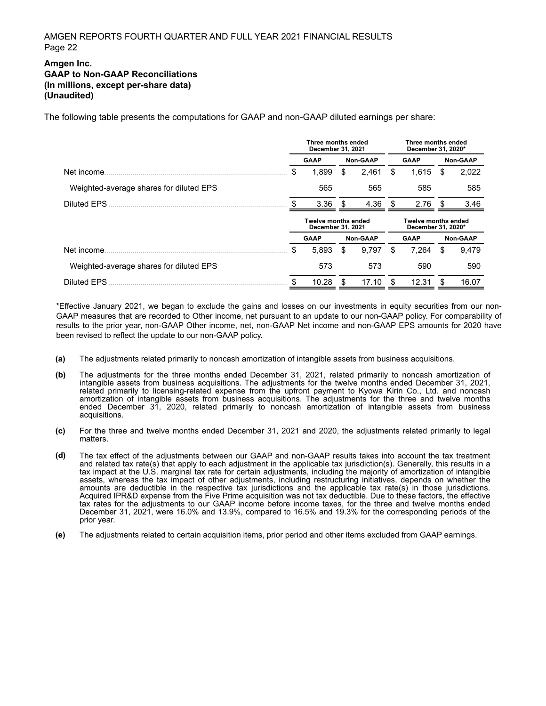### **Amgen Inc. GAAP to Non-GAAP Reconciliations (In millions, except per-share data) (Unaudited)**

The following table presents the computations for GAAP and non-GAAP diluted earnings per share:

|                                         | Three months ended<br>December 31, 2021 |                                                 |    | Three months ended<br>December 31, 2020* |                                           |             |    |          |  |
|-----------------------------------------|-----------------------------------------|-------------------------------------------------|----|------------------------------------------|-------------------------------------------|-------------|----|----------|--|
|                                         |                                         | <b>GAAP</b>                                     |    | Non-GAAP                                 |                                           | <b>GAAP</b> |    | Non-GAAP |  |
| Net income                              | S                                       | 1,899                                           | \$ | 2,461                                    | \$                                        | 1,615       | S  | 2,022    |  |
| Weighted-average shares for diluted EPS |                                         | 565                                             |    | 565                                      |                                           | 585         |    | 585      |  |
| <b>Diluted EPS</b>                      |                                         | 3.36                                            | -S | 4.36                                     | -S                                        | 2.76        | S. | 3.46     |  |
|                                         |                                         | <b>Twelve months ended</b><br>December 31, 2021 |    |                                          | Twelve months ended<br>December 31, 2020* |             |    |          |  |
|                                         |                                         | <b>GAAP</b>                                     |    | <b>Non-GAAP</b>                          |                                           | <b>GAAP</b> |    | Non-GAAP |  |
| Net income.                             | \$.                                     | 5,893                                           | \$ | 9,797                                    | \$.                                       | 7,264       | S  | 9,479    |  |
| Weighted-average shares for diluted EPS |                                         | 573                                             |    | 573                                      |                                           | 590         |    | 590      |  |
| <b>Diluted EPS</b>                      |                                         | 10.28                                           | \$ | 17.10                                    | \$.                                       | 12.31       | S  | 16.07    |  |

\*Effective January 2021, we began to exclude the gains and losses on our investments in equity securities from our non-GAAP measures that are recorded to Other income, net pursuant to an update to our non-GAAP policy. For comparability of results to the prior year, non-GAAP Other income, net, non-GAAP Net income and non-GAAP EPS amounts for 2020 have been revised to reflect the update to our non-GAAP policy.

- **(a)** The adjustments related primarily to noncash amortization of intangible assets from business acquisitions.
- **(b)** The adjustments for the three months ended December 31, 2021, related primarily to noncash amortization of intangible assets from business acquisitions. The adjustments for the twelve months ended December 31, 2021, related primarily to licensing-related expense from the upfront payment to Kyowa Kirin Co., Ltd. and noncash amortization of intangible assets from business acquisitions. The adjustments for the three and twelve months ended December 31, 2020, related primarily to noncash amortization of intangible assets from business acquisitions.
- **(c)** For the three and twelve months ended December 31, 2021 and 2020, the adjustments related primarily to legal matters.
- **(d)** The tax effect of the adjustments between our GAAP and non-GAAP results takes into account the tax treatment and related tax rate(s) that apply to each adjustment in the applicable tax jurisdiction(s). Generally, this results in a tax impact at the U.S. marginal tax rate for certain adjustments, including the majority of amortization of intangible assets, whereas the tax impact of other adjustments, including restructuring initiatives, depends on whether the amounts are deductible in the respective tax jurisdictions and the applicable tax rate(s) in those jurisdictions. Acquired IPR&D expense from the Five Prime acquisition was not tax deductible. Due to these factors, the effective tax rates for the adjustments to our GAAP income before income taxes, for the three and twelve months ended December 31, 2021, were 16.0% and 13.9%, compared to 16.5% and 19.3% for the corresponding periods of the prior year.
- **(e)** The adjustments related to certain acquisition items, prior period and other items excluded from GAAP earnings.